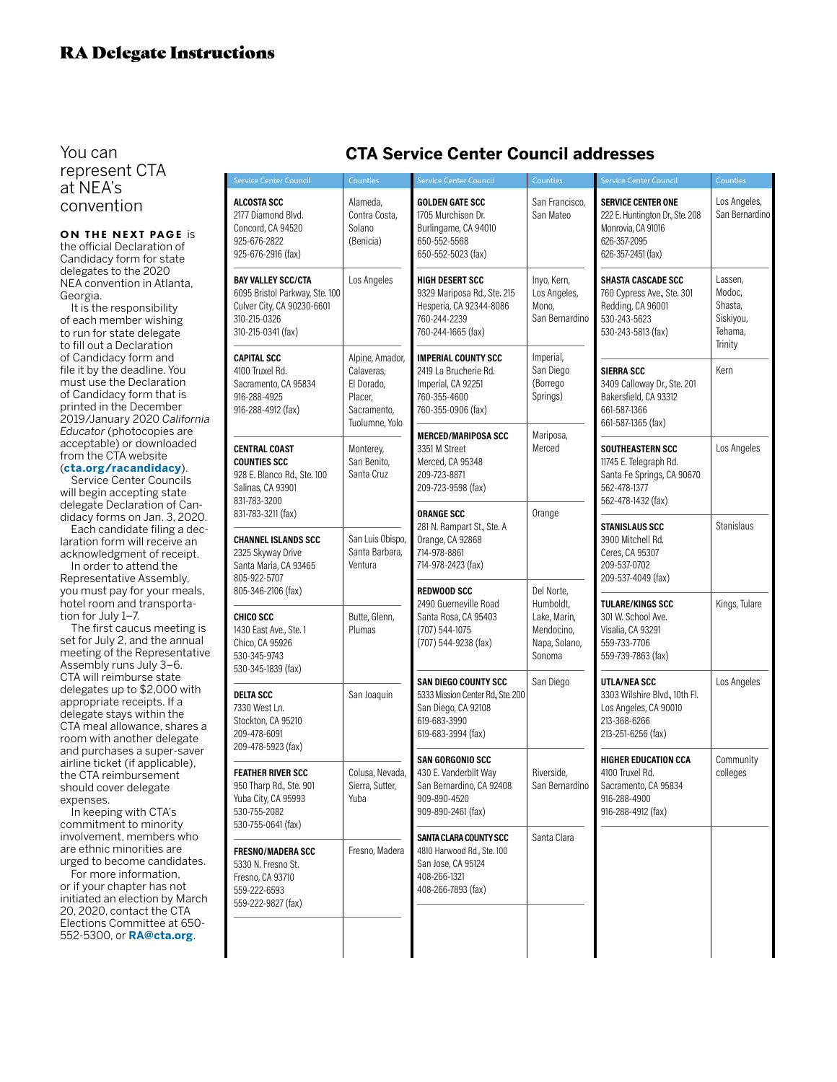You can represent CTA at NEA's convention

ON THE NEXT PAGE is the official Declaration of Candidacy form for state delegates to the 2020 NEA convention in Atlanta, Georgia.

It is the responsibility of each member wishing to run for state delegate to fill out a Declaration of Candidacy form and file it by the deadline. You must use the Declaration of Candidacy form that is printed in the December 2019/January 2020 *California Educator* (photocopies are acceptable) or downloaded from the CTA website (**cta.org/racandidacy**).

Service Center Councils will begin accepting state delegate Declaration of Candidacy forms on Jan. 3, 2020.

Each candidate filing a declaration form will receive an acknowledgment of receipt.

In order to attend the Representative Assembly, you must pay for your meals, hotel room and transportation for July 1–7.

The first caucus meeting is set for July 2, and the annual meeting of the Representative Assembly runs July 3–6. CTA will reimburse state delegates up to \$2,000 with appropriate receipts. If a delegate stays within the CTA meal allowance, shares a room with another delegate and purchases a super-saver airline ticket (if applicable), the CTA reimbursement should cover delegate expenses.

In keeping with CTA's commitment to minority involvement, members who are ethnic minorities are urged to become candidates.

For more information, or if your chapter has not initiated an election by March 20, 2020, contact the CTA Elections Committee at 650- 552-5300, or **RA@cta.org**.

| <b>Service Center Council</b>                                                                                            | <b>Counties</b>                                                                         | <b>Service Center Council</b>                                                                                                 | Counties                                                                         | <b>Service Center Council</b>                                                                                            | Counties                                                        |
|--------------------------------------------------------------------------------------------------------------------------|-----------------------------------------------------------------------------------------|-------------------------------------------------------------------------------------------------------------------------------|----------------------------------------------------------------------------------|--------------------------------------------------------------------------------------------------------------------------|-----------------------------------------------------------------|
| ALCOSTA SCC<br>2177 Diamond Blvd.<br>Concord, CA 94520<br>925-676-2822<br>925-676-2916 (fax)                             | Alameda,<br>Contra Costa,<br>Solano<br>(Benicia)                                        | <b>GOLDEN GATE SCC</b><br>1705 Murchison Dr.<br>Burlingame, CA 94010<br>650-552-5568<br>650-552-5023 (fax)                    | San Francisco,<br>San Mateo                                                      | <b>SERVICE CENTER ONE</b><br>222 E. Huntington Dr., Ste. 208<br>Monrovia, CA 91016<br>626-357-2095<br>626-357-2451 (fax) | Los Angeles,<br>San Bernardino                                  |
| BAY VALLEY SCC/CTA<br>6095 Bristol Parkway, Ste. 100<br>Culver City, CA 90230-6601<br>310-215-0326<br>310-215-0341 (fax) | Los Angeles                                                                             | HIGH DESERT SCC<br>9329 Mariposa Rd., Ste. 215<br>Hesperia, CA 92344-8086<br>760-244-2239<br>760-244-1665 (fax)               | Inyo, Kern,<br>Los Angeles,<br>Mono,<br>San Bernardino                           | <b>SHASTA CASCADE SCC</b><br>760 Cypress Ave., Ste. 301<br>Redding, CA 96001<br>530-243-5623<br>530-243-5813 (fax)       | Lassen,<br>Modoc,<br>Shasta,<br>Siskiyou,<br>Tehama,<br>Trinity |
| CAPITAL SCC<br>4100 Truxel Rd.<br>Sacramento, CA 95834<br>916-288-4925<br>916-288-4912 (fax)                             | Alpine, Amador,<br>Calaveras,<br>El Dorado,<br>Placer,<br>Sacramento,<br>Tuolumne, Yolo | <b>IMPERIAL COUNTY SCC</b><br>2419 La Brucherie Rd.<br>Imperial, CA 92251<br>760-355-4600<br>760-355-0906 (fax)               | Imperial,<br>San Diego<br>(Borrego<br>Springs)                                   | <b>SIERRA SCC</b><br>3409 Calloway Dr., Ste. 201<br>Bakersfield, CA 93312<br>661-587-1366<br>661-587-1365 (fax)          | Kern                                                            |
| CENTRAL COAST<br>COUNTIES SCC<br>928 E. Blanco Rd., Ste. 100<br>Salinas, CA 93901<br>831-783-3200                        | Monterey,<br>San Benito.<br>Santa Cruz                                                  | <b>MERCED/MARIPOSA SCC</b><br>3351 M Street<br>Merced, CA 95348<br>209-723-8871<br>209-723-9598 (fax)                         | Mariposa,<br>Merced                                                              | <b>SOUTHEASTERN SCC</b><br>11745 E. Telegraph Rd.<br>Santa Fe Springs, CA 90670<br>562-478-1377<br>562-478-1432 (fax)    | Los Angeles                                                     |
| 831-783-3211 (fax)<br><b>CHANNEL ISLANDS SCC</b><br>2325 Skyway Drive<br>Santa Maria, CA 93465<br>805-922-5707           | San Luis Obispo,<br>Santa Barbara,<br>Ventura                                           | <b>ORANGE SCC</b><br>281 N. Rampart St., Ste. A<br>Orange, CA 92868<br>714-978-8861<br>714-978-2423 (fax)                     | Orange                                                                           | STANISLAUS SCC<br>3900 Mitchell Rd.<br>Ceres, CA 95307<br>209-537-0702<br>209-537-4049 (fax)                             | Stanislaus                                                      |
| 805-346-2106 (fax)<br>CHICO SCC<br>1430 East Ave., Ste. 1<br>Chico, CA 95926<br>530-345-9743                             | Butte, Glenn,<br>Plumas                                                                 | <b>REDWOOD SCC</b><br>2490 Guerneville Road<br>Santa Rosa, CA 95403<br>(707) 544-1075<br>(707) 544-9238 (fax)                 | Del Norte,<br>Humboldt,<br>Lake, Marin,<br>Mendocino,<br>Napa, Solano,<br>Sonoma | TULARE/KINGS SCC<br>301 W. School Ave.<br>Visalia, CA 93291<br>559-733-7706<br>559-739-7863 (fax)                        | Kings, Tulare                                                   |
| 530-345-1839 (fax)<br>DELTA SCC<br>7330 West Ln.<br>Stockton, CA 95210<br>209-478-6091<br>209-478-5923 (fax)             | San Joaquin                                                                             | <b>SAN DIEGO COUNTY SCC</b><br>5333 Mission Center Rd., Ste. 200<br>San Diego, CA 92108<br>619-683-3990<br>619-683-3994 (fax) | San Diego                                                                        | UTLA/NEA SCC<br>3303 Wilshire Blvd., 10th Fl.<br>Los Angeles, CA 90010<br>213-368-6266<br>213-251-6256 (fax)             | Los Angeles                                                     |
| FEATHER RIVER SCC<br>950 Tharp Rd., Ste. 901<br>Yuba City, CA 95993<br>530-755-2082<br>530-755-0641 (fax)                | Colusa, Nevada,<br>Sierra, Sutter,<br>Yuba                                              | <b>SAN GORGONIO SCC</b><br>430 E. Vanderbilt Way<br>San Bernardino, CA 92408<br>909-890-4520<br>909-890-2461 (fax)            | Riverside,<br>San Bernardino                                                     | <b>HIGHER EDUCATION CCA</b><br>4100 Truxel Rd.<br>Sacramento, CA 95834<br>916-288-4900<br>916-288-4912 (fax)             | Community<br>colleges                                           |
| <b>FRESNO/MADERA SCC</b><br>5330 N. Fresno St.<br>Fresno, CA 93710<br>559-222-6593<br>559-222-9827 (fax)                 | Fresno, Madera                                                                          | SANTA CLARA COUNTY SCC<br>4810 Harwood Rd., Ste. 100<br>San Jose, CA 95124<br>408-266-1321<br>408-266-7893 (fax)              | Santa Clara                                                                      |                                                                                                                          |                                                                 |
|                                                                                                                          |                                                                                         |                                                                                                                               |                                                                                  |                                                                                                                          |                                                                 |

## **CTA Service Center Council addresses**